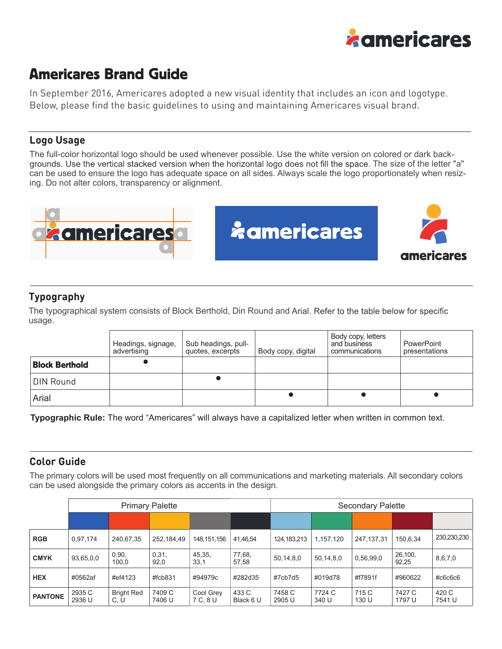

# Americares Brand Guide

In September 2016, Americares adopted a new visual identity that includes an icon and logotype. Below, please find the basic guidelines to using and maintaining Americares visual brand.

#### **Logo Usage**

The full-color horizontal logo should be used whenever possible. Use the white version on colored or dark backgrounds. Use the vertical stacked version when the horizontal logo does not fill the space. The size of the letter "a" can be used to ensure the logo has adequate space on all sides. Always scale the logo proportionately when resizing. Do not alter colors, transparency or alignment.







## **Typography**

The typographical system consists of Block Berthold, Din Round and Arial. Refer to the table below for specific usage.

|                       | Headings, signage,<br>advertising | Sub headings, pull-<br>quotes, excerpts | Body copy, digital | Body copy, letters<br>and business<br>communications | PowerPoint<br>presentations |
|-----------------------|-----------------------------------|-----------------------------------------|--------------------|------------------------------------------------------|-----------------------------|
| <b>Block Berthold</b> |                                   |                                         |                    |                                                      |                             |
| DIN Round             |                                   |                                         |                    |                                                      |                             |
| Arial                 |                                   |                                         |                    |                                                      |                             |

**Typographic Rule:** The word "Americares" will always have a capitalized letter when written in common text.

#### **Color Guide**

The primary colors will be used most frequently on all communications and marketing materials. All secondary colors can be used alongside the primary colors as accents in the design.

|                | <b>Primary Palette</b> |                           |                  |                       |                    | <b>Secondary Palette</b> |                 |                |                  |                 |
|----------------|------------------------|---------------------------|------------------|-----------------------|--------------------|--------------------------|-----------------|----------------|------------------|-----------------|
|                |                        |                           |                  |                       |                    |                          |                 |                |                  |                 |
| <b>RGB</b>     | 0,97,174               | 240,67,35                 | 252,184,49       | 148, 151, 156         | 41,46,54           | 124,183,213              | 1,157,120       | 247.137.31     | 150,6,34         | 230,230,230     |
| <b>CMYK</b>    | 93,65,0,0              | 0,90,<br>100.0            | 0,31,<br>92,0    | 45,35,<br>33,1        | 77,68,<br>57,58    | 50,14,8,0                | 50,14,8,0       | 0,56,99,0      | 26,100,<br>92,25 | 8,6,7,0         |
| <b>HEX</b>     | #0562af                | #ef4123                   | #fcb831          | #94979c               | #282d35            | #7cb7d5                  | #019d78         | #f7891f        | #960622          | #c6c6c6         |
| <b>PANTONE</b> | 2935 C<br>2936 U       | <b>Bright Red</b><br>C. U | 7409 C<br>7406 U | Cool Grey<br>7 C, 8 U | 433 C<br>Black 6 U | 7458 C<br>2905 U         | 7724 C<br>340 U | 715 C<br>130 U | 7427 C<br>1797 U | 420 C<br>7541 U |